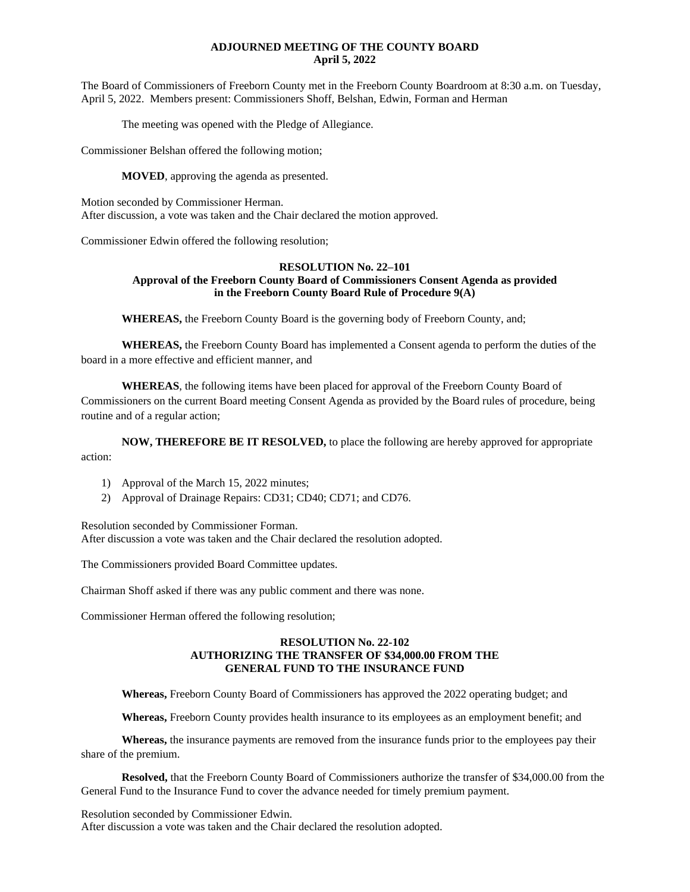# **ADJOURNED MEETING OF THE COUNTY BOARD April 5, 2022**

The Board of Commissioners of Freeborn County met in the Freeborn County Boardroom at 8:30 a.m. on Tuesday, April 5, 2022. Members present: Commissioners Shoff, Belshan, Edwin, Forman and Herman

The meeting was opened with the Pledge of Allegiance.

Commissioner Belshan offered the following motion;

**MOVED**, approving the agenda as presented.

Motion seconded by Commissioner Herman. After discussion, a vote was taken and the Chair declared the motion approved.

Commissioner Edwin offered the following resolution;

## **RESOLUTION No. 22–101 Approval of the Freeborn County Board of Commissioners Consent Agenda as provided in the Freeborn County Board Rule of Procedure 9(A)**

**WHEREAS,** the Freeborn County Board is the governing body of Freeborn County, and;

**WHEREAS,** the Freeborn County Board has implemented a Consent agenda to perform the duties of the board in a more effective and efficient manner, and

**WHEREAS**, the following items have been placed for approval of the Freeborn County Board of Commissioners on the current Board meeting Consent Agenda as provided by the Board rules of procedure, being routine and of a regular action;

**NOW, THEREFORE BE IT RESOLVED,** to place the following are hereby approved for appropriate action:

- 1) Approval of the March 15, 2022 minutes;
- 2) Approval of Drainage Repairs: CD31; CD40; CD71; and CD76.

Resolution seconded by Commissioner Forman.

After discussion a vote was taken and the Chair declared the resolution adopted.

The Commissioners provided Board Committee updates.

Chairman Shoff asked if there was any public comment and there was none.

Commissioner Herman offered the following resolution;

# **RESOLUTION No. 22-102 AUTHORIZING THE TRANSFER OF \$34,000.00 FROM THE GENERAL FUND TO THE INSURANCE FUND**

**Whereas,** Freeborn County Board of Commissioners has approved the 2022 operating budget; and

**Whereas,** Freeborn County provides health insurance to its employees as an employment benefit; and

**Whereas,** the insurance payments are removed from the insurance funds prior to the employees pay their share of the premium.

**Resolved,** that the Freeborn County Board of Commissioners authorize the transfer of \$34,000.00 from the General Fund to the Insurance Fund to cover the advance needed for timely premium payment.

Resolution seconded by Commissioner Edwin. After discussion a vote was taken and the Chair declared the resolution adopted.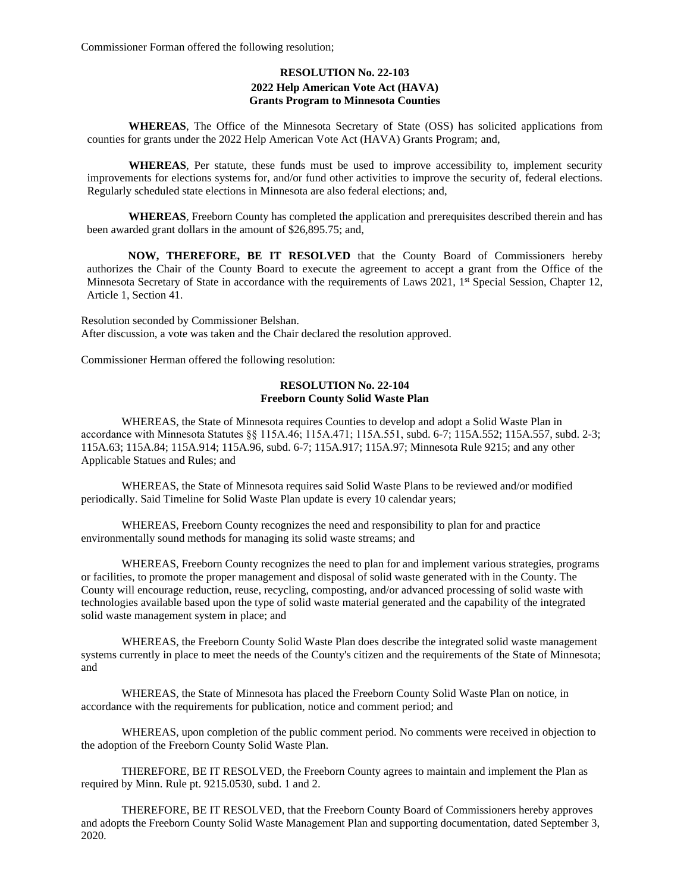Commissioner Forman offered the following resolution;

# **RESOLUTION No. 22-103 2022 Help American Vote Act (HAVA) Grants Program to Minnesota Counties**

**WHEREAS**, The Office of the Minnesota Secretary of State (OSS) has solicited applications from counties for grants under the 2022 Help American Vote Act (HAVA) Grants Program; and,

**WHEREAS**, Per statute, these funds must be used to improve accessibility to, implement security improvements for elections systems for, and/or fund other activities to improve the security of, federal elections. Regularly scheduled state elections in Minnesota are also federal elections; and,

**WHEREAS**, Freeborn County has completed the application and prerequisites described therein and has been awarded grant dollars in the amount of \$26,895.75; and,

**NOW, THEREFORE, BE IT RESOLVED** that the County Board of Commissioners hereby authorizes the Chair of the County Board to execute the agreement to accept a grant from the Office of the Minnesota Secretary of State in accordance with the requirements of Laws 2021, 1<sup>st</sup> Special Session, Chapter 12, Article 1, Section 41.

Resolution seconded by Commissioner Belshan. After discussion, a vote was taken and the Chair declared the resolution approved.

Commissioner Herman offered the following resolution:

#### **RESOLUTION No. 22-104 Freeborn County Solid Waste Plan**

WHEREAS, the State of Minnesota requires Counties to develop and adopt a Solid Waste Plan in accordance with Minnesota Statutes §§ 115A.46; 115A.471; 115A.551, subd. 6-7; 115A.552; 115A.557, subd. 2-3; 115A.63; 115A.84; 115A.914; 115A.96, subd. 6-7; 115A.917; 115A.97; Minnesota Rule 9215; and any other Applicable Statues and Rules; and

WHEREAS, the State of Minnesota requires said Solid Waste Plans to be reviewed and/or modified periodically. Said Timeline for Solid Waste Plan update is every 10 calendar years;

WHEREAS, Freeborn County recognizes the need and responsibility to plan for and practice environmentally sound methods for managing its solid waste streams; and

WHEREAS, Freeborn County recognizes the need to plan for and implement various strategies, programs or facilities, to promote the proper management and disposal of solid waste generated with in the County. The County will encourage reduction, reuse, recycling, composting, and/or advanced processing of solid waste with technologies available based upon the type of solid waste material generated and the capability of the integrated solid waste management system in place; and

WHEREAS, the Freeborn County Solid Waste Plan does describe the integrated solid waste management systems currently in place to meet the needs of the County's citizen and the requirements of the State of Minnesota; and

WHEREAS, the State of Minnesota has placed the Freeborn County Solid Waste Plan on notice, in accordance with the requirements for publication, notice and comment period; and

WHEREAS, upon completion of the public comment period. No comments were received in objection to the adoption of the Freeborn County Solid Waste Plan.

THEREFORE, BE IT RESOLVED, the Freeborn County agrees to maintain and implement the Plan as required by Minn. Rule pt. 9215.0530, subd. 1 and 2.

THEREFORE, BE IT RESOLVED, that the Freeborn County Board of Commissioners hereby approves and adopts the Freeborn County Solid Waste Management Plan and supporting documentation, dated September 3, 2020.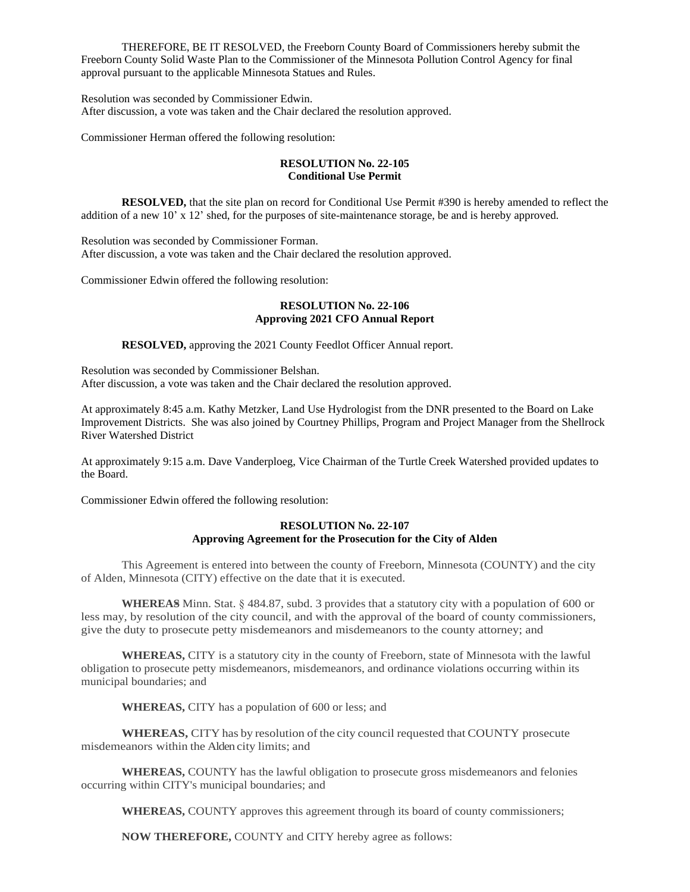THEREFORE, BE IT RESOLVED, the Freeborn County Board of Commissioners hereby submit the Freeborn County Solid Waste Plan to the Commissioner of the Minnesota Pollution Control Agency for final approval pursuant to the applicable Minnesota Statues and Rules.

Resolution was seconded by Commissioner Edwin. After discussion, a vote was taken and the Chair declared the resolution approved.

Commissioner Herman offered the following resolution:

# **RESOLUTION No. 22-105 Conditional Use Permit**

**RESOLVED,** that the site plan on record for Conditional Use Permit #390 is hereby amended to reflect the addition of a new 10' x 12' shed, for the purposes of site-maintenance storage, be and is hereby approved.

Resolution was seconded by Commissioner Forman. After discussion, a vote was taken and the Chair declared the resolution approved.

Commissioner Edwin offered the following resolution:

#### **RESOLUTION No. 22-106 Approving 2021 CFO Annual Report**

**RESOLVED,** approving the 2021 County Feedlot Officer Annual report.

Resolution was seconded by Commissioner Belshan. After discussion, a vote was taken and the Chair declared the resolution approved.

At approximately 8:45 a.m. Kathy Metzker, Land Use Hydrologist from the DNR presented to the Board on Lake Improvement Districts. She was also joined by Courtney Phillips, Program and Project Manager from the Shellrock River Watershed District

At approximately 9:15 a.m. Dave Vanderploeg, Vice Chairman of the Turtle Creek Watershed provided updates to the Board.

Commissioner Edwin offered the following resolution:

# **RESOLUTION No. 22-107 Approving Agreement for the Prosecution for the City of Alden**

This Agreement is entered into between the county of Freeborn, Minnesota (COUNTY) and the city of Alden, Minnesota (CITY) effective on the date that it is executed.

**WHEREAS** Minn. Stat. § 484.87, subd. 3 provides that a statutory city with a population of 600 or less may, by resolution of the city council, and with the approval of the board of county commissioners, give the duty to prosecute petty misdemeanors and misdemeanors to the county attorney; and

**WHEREAS,** CITY is a statutory city in the county of Freeborn, state of Minnesota with the lawful obligation to prosecute petty misdemeanors, misdemeanors, and ordinance violations occurring within its municipal boundaries; and

**WHEREAS,** CITY has a population of 600 or less; and

**WHEREAS,** CITY has by resolution of the city council requested that COUNTY prosecute misdemeanors within the Alden city limits; and

**WHEREAS,** COUNTY has the lawful obligation to prosecute gross misdemeanors and felonies occurring within CITY's municipal boundaries; and

**WHEREAS,** COUNTY approves this agreement through its board of county commissioners;

**NOW THEREFORE,** COUNTY and CITY hereby agree as follows: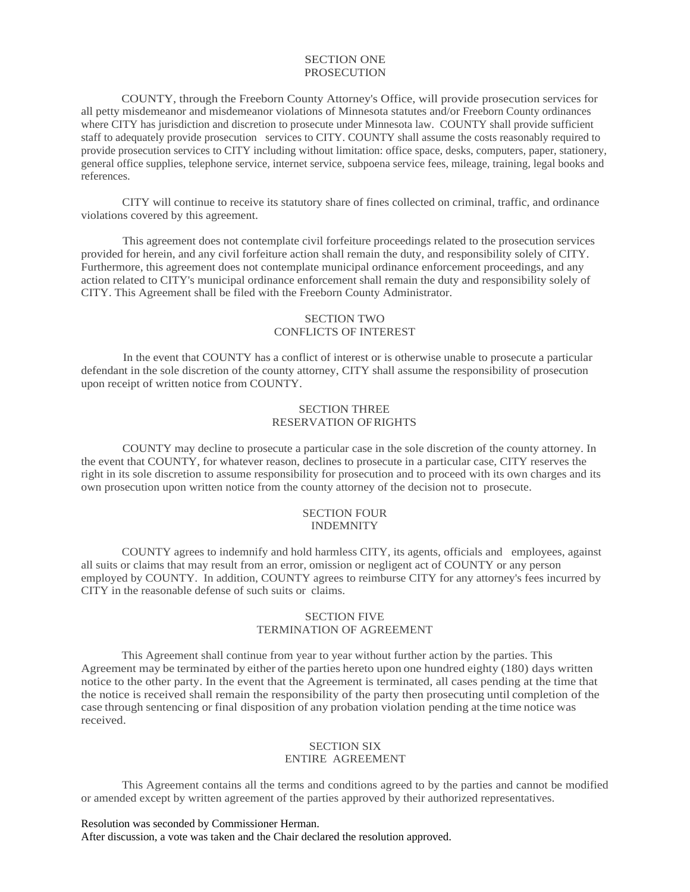#### SECTION ONE PROSECUTION

COUNTY, through the Freeborn County Attorney's Office, will provide prosecution services for all petty misdemeanor and misdemeanor violations of Minnesota statutes and/or Freeborn County ordinances where CITY has jurisdiction and discretion to prosecute under Minnesota law. COUNTY shall provide sufficient staff to adequately provide prosecution services to CITY. COUNTY shall assume the costs reasonably required to provide prosecution services to CITY including without limitation: office space, desks, computers, paper, stationery, general office supplies, telephone service, internet service, subpoena service fees, mileage, training, legal books and references.

CITY will continue to receive its statutory share of fines collected on criminal, traffic, and ordinance violations covered by this agreement.

This agreement does not contemplate civil forfeiture proceedings related to the prosecution services provided for herein, and any civil forfeiture action shall remain the duty, and responsibility solely of CITY. Furthermore, this agreement does not contemplate municipal ordinance enforcement proceedings, and any action related to CITY's municipal ordinance enforcement shall remain the duty and responsibility solely of CITY. This Agreement shall be filed with the Freeborn County Administrator.

# SECTION TWO CONFLICTS OF INTEREST

In the event that COUNTY has a conflict of interest or is otherwise unable to prosecute a particular defendant in the sole discretion of the county attorney, CITY shall assume the responsibility of prosecution upon receipt of written notice from COUNTY.

# SECTION THREE RESERVATION OFRIGHTS

COUNTY may decline to prosecute a particular case in the sole discretion of the county attorney. In the event that COUNTY, for whatever reason, declines to prosecute in a particular case, CITY reserves the right in its sole discretion to assume responsibility for prosecution and to proceed with its own charges and its own prosecution upon written notice from the county attorney of the decision not to prosecute.

#### SECTION FOUR INDEMNITY

COUNTY agrees to indemnify and hold harmless CITY, its agents, officials and employees, against all suits or claims that may result from an error, omission or negligent act of COUNTY or any person employed by COUNTY. In addition, COUNTY agrees to reimburse CITY for any attorney's fees incurred by CITY in the reasonable defense of such suits or claims.

# SECTION FIVE TERMINATION OF AGREEMENT

This Agreement shall continue from year to year without further action by the parties. This Agreement may be terminated by either of the parties hereto upon one hundred eighty (180) days written notice to the other party. In the event that the Agreement is terminated, all cases pending at the time that the notice is received shall remain the responsibility of the party then prosecuting until completion of the case through sentencing or final disposition of any probation violation pending atthe time notice was received.

## SECTION SIX ENTIRE AGREEMENT

This Agreement contains all the terms and conditions agreed to by the parties and cannot be modified or amended except by written agreement of the parties approved by their authorized representatives.

Resolution was seconded by Commissioner Herman. After discussion, a vote was taken and the Chair declared the resolution approved.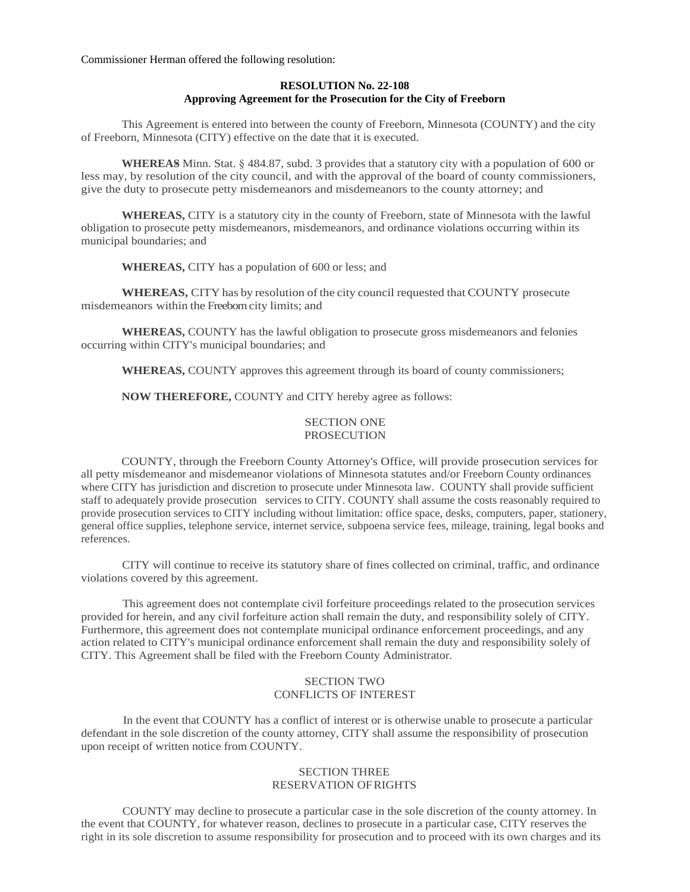Commissioner Herman offered the following resolution:

## **RESOLUTION No. 22-108 Approving Agreement for the Prosecution for the City of Freeborn**

This Agreement is entered into between the county of Freeborn, Minnesota (COUNTY) and the city of Freeborn, Minnesota (CITY) effective on the date that it is executed.

**WHEREAS** Minn. Stat. § 484.87, subd. 3 provides that a statutory city with a population of 600 or less may, by resolution of the city council, and with the approval of the board of county commissioners, give the duty to prosecute petty misdemeanors and misdemeanors to the county attorney; and

**WHEREAS,** CITY is a statutory city in the county of Freeborn, state of Minnesota with the lawful obligation to prosecute petty misdemeanors, misdemeanors, and ordinance violations occurring within its municipal boundaries; and

**WHEREAS,** CITY has a population of 600 or less; and

**WHEREAS,** CITY has by resolution of the city council requested that COUNTY prosecute misdemeanors within the Freeborn city limits; and

**WHEREAS,** COUNTY has the lawful obligation to prosecute gross misdemeanors and felonies occurring within CITY's municipal boundaries; and

**WHEREAS,** COUNTY approves this agreement through its board of county commissioners;

**NOW THEREFORE,** COUNTY and CITY hereby agree as follows:

## SECTION ONE **PROSECUTION**

COUNTY, through the Freeborn County Attorney's Office, will provide prosecution services for all petty misdemeanor and misdemeanor violations of Minnesota statutes and/or Freeborn County ordinances where CITY has jurisdiction and discretion to prosecute under Minnesota law. COUNTY shall provide sufficient staff to adequately provide prosecution services to CITY. COUNTY shall assume the costs reasonably required to provide prosecution services to CITY including without limitation: office space, desks, computers, paper, stationery, general office supplies, telephone service, internet service, subpoena service fees, mileage, training, legal books and references.

CITY will continue to receive its statutory share of fines collected on criminal, traffic, and ordinance violations covered by this agreement.

This agreement does not contemplate civil forfeiture proceedings related to the prosecution services provided for herein, and any civil forfeiture action shall remain the duty, and responsibility solely of CITY. Furthermore, this agreement does not contemplate municipal ordinance enforcement proceedings, and any action related to CITY's municipal ordinance enforcement shall remain the duty and responsibility solely of CITY. This Agreement shall be filed with the Freeborn County Administrator.

# SECTION TWO CONFLICTS OF INTEREST

In the event that COUNTY has a conflict of interest or is otherwise unable to prosecute a particular defendant in the sole discretion of the county attorney, CITY shall assume the responsibility of prosecution upon receipt of written notice from COUNTY.

## SECTION THREE RESERVATION OFRIGHTS

COUNTY may decline to prosecute a particular case in the sole discretion of the county attorney. In the event that COUNTY, for whatever reason, declines to prosecute in a particular case, CITY reserves the right in its sole discretion to assume responsibility for prosecution and to proceed with its own charges and its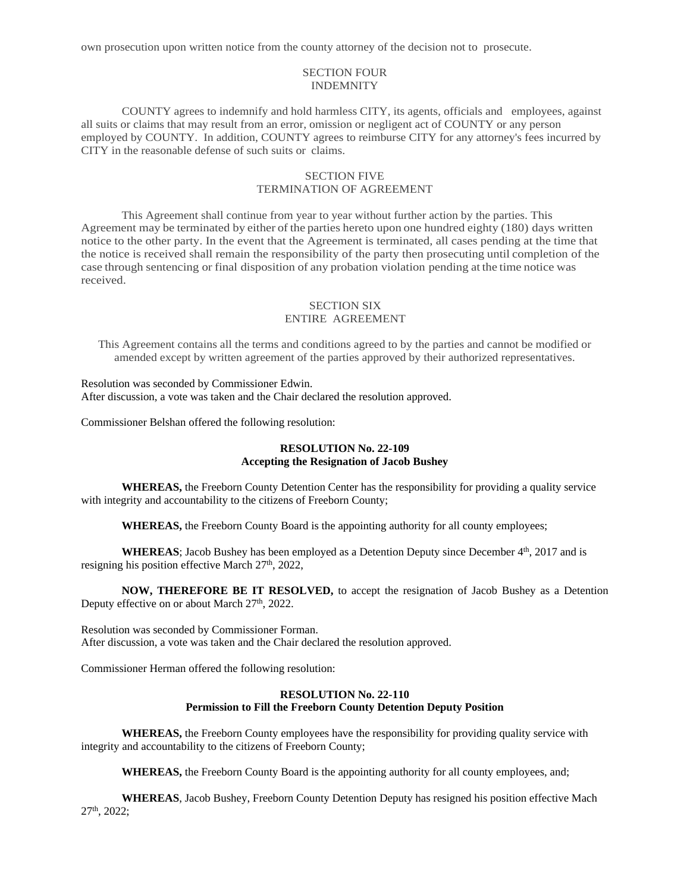own prosecution upon written notice from the county attorney of the decision not to prosecute.

### SECTION FOUR INDEMNITY

COUNTY agrees to indemnify and hold harmless CITY, its agents, officials and employees, against all suits or claims that may result from an error, omission or negligent act of COUNTY or any person employed by COUNTY. In addition, COUNTY agrees to reimburse CITY for any attorney's fees incurred by CITY in the reasonable defense of such suits or claims.

# SECTION FIVE TERMINATION OF AGREEMENT

This Agreement shall continue from year to year without further action by the parties. This Agreement may be terminated by either of the parties hereto upon one hundred eighty (180) days written notice to the other party. In the event that the Agreement is terminated, all cases pending at the time that the notice is received shall remain the responsibility of the party then prosecuting until completion of the case through sentencing or final disposition of any probation violation pending atthe time notice was received.

# SECTION SIX ENTIRE AGREEMENT

This Agreement contains all the terms and conditions agreed to by the parties and cannot be modified or amended except by written agreement of the parties approved by their authorized representatives.

Resolution was seconded by Commissioner Edwin. After discussion, a vote was taken and the Chair declared the resolution approved.

Commissioner Belshan offered the following resolution:

# **RESOLUTION No. 22-109 Accepting the Resignation of Jacob Bushey**

**WHEREAS,** the Freeborn County Detention Center has the responsibility for providing a quality service with integrity and accountability to the citizens of Freeborn County;

**WHEREAS,** the Freeborn County Board is the appointing authority for all county employees;

WHEREAS; Jacob Bushey has been employed as a Detention Deputy since December  $4<sup>th</sup>$ , 2017 and is resigning his position effective March 27<sup>th</sup>, 2022,

**NOW, THEREFORE BE IT RESOLVED,** to accept the resignation of Jacob Bushey as a Detention Deputy effective on or about March 27<sup>th</sup>, 2022.

Resolution was seconded by Commissioner Forman. After discussion, a vote was taken and the Chair declared the resolution approved.

Commissioner Herman offered the following resolution:

#### **RESOLUTION No. 22-110 Permission to Fill the Freeborn County Detention Deputy Position**

**WHEREAS,** the Freeborn County employees have the responsibility for providing quality service with integrity and accountability to the citizens of Freeborn County;

**WHEREAS,** the Freeborn County Board is the appointing authority for all county employees, and;

**WHEREAS**, Jacob Bushey, Freeborn County Detention Deputy has resigned his position effective Mach 27th, 2022;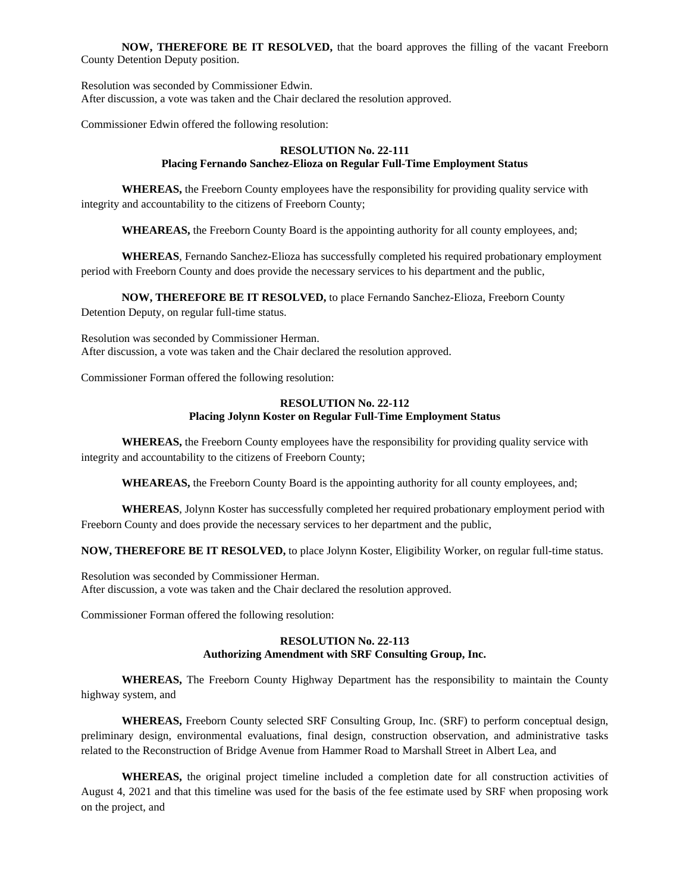**NOW, THEREFORE BE IT RESOLVED,** that the board approves the filling of the vacant Freeborn County Detention Deputy position.

Resolution was seconded by Commissioner Edwin. After discussion, a vote was taken and the Chair declared the resolution approved.

Commissioner Edwin offered the following resolution:

## **RESOLUTION No. 22-111 Placing Fernando Sanchez-Elioza on Regular Full-Time Employment Status**

**WHEREAS,** the Freeborn County employees have the responsibility for providing quality service with integrity and accountability to the citizens of Freeborn County;

**WHEAREAS,** the Freeborn County Board is the appointing authority for all county employees, and;

**WHEREAS**, Fernando Sanchez-Elioza has successfully completed his required probationary employment period with Freeborn County and does provide the necessary services to his department and the public,

**NOW, THEREFORE BE IT RESOLVED,** to place Fernando Sanchez-Elioza, Freeborn County

Detention Deputy, on regular full-time status.

Resolution was seconded by Commissioner Herman. After discussion, a vote was taken and the Chair declared the resolution approved.

Commissioner Forman offered the following resolution:

# **RESOLUTION No. 22-112 Placing Jolynn Koster on Regular Full-Time Employment Status**

**WHEREAS,** the Freeborn County employees have the responsibility for providing quality service with integrity and accountability to the citizens of Freeborn County;

**WHEAREAS,** the Freeborn County Board is the appointing authority for all county employees, and;

**WHEREAS**, Jolynn Koster has successfully completed her required probationary employment period with Freeborn County and does provide the necessary services to her department and the public,

**NOW, THEREFORE BE IT RESOLVED,** to place Jolynn Koster, Eligibility Worker, on regular full-time status.

Resolution was seconded by Commissioner Herman. After discussion, a vote was taken and the Chair declared the resolution approved.

Commissioner Forman offered the following resolution:

# **RESOLUTION No. 22-113 Authorizing Amendment with SRF Consulting Group, Inc.**

**WHEREAS,** The Freeborn County Highway Department has the responsibility to maintain the County highway system, and

**WHEREAS,** Freeborn County selected SRF Consulting Group, Inc. (SRF) to perform conceptual design, preliminary design, environmental evaluations, final design, construction observation, and administrative tasks related to the Reconstruction of Bridge Avenue from Hammer Road to Marshall Street in Albert Lea, and

**WHEREAS,** the original project timeline included a completion date for all construction activities of August 4, 2021 and that this timeline was used for the basis of the fee estimate used by SRF when proposing work on the project, and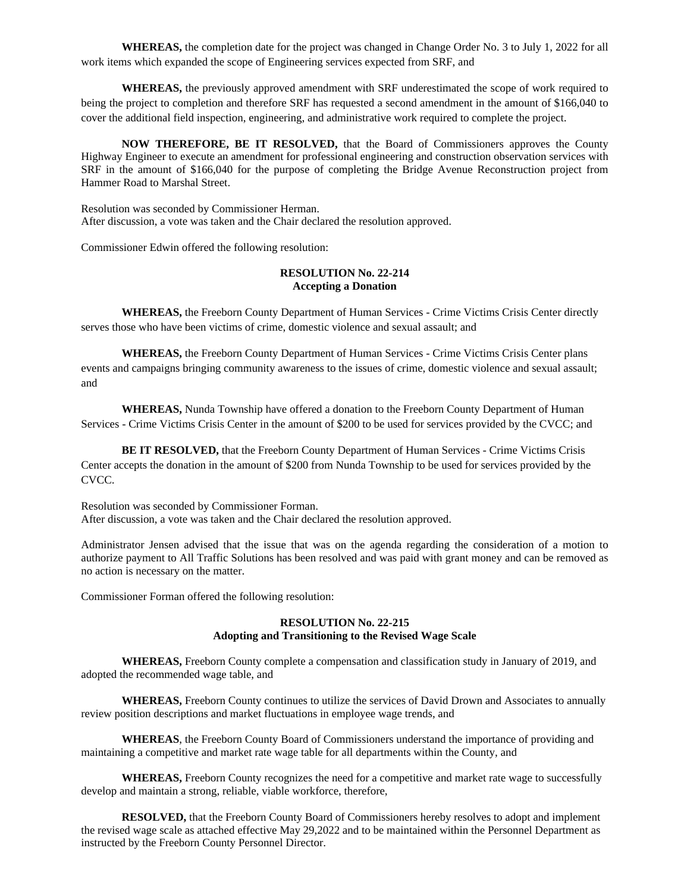**WHEREAS,** the completion date for the project was changed in Change Order No. 3 to July 1, 2022 for all work items which expanded the scope of Engineering services expected from SRF, and

**WHEREAS,** the previously approved amendment with SRF underestimated the scope of work required to being the project to completion and therefore SRF has requested a second amendment in the amount of \$166,040 to cover the additional field inspection, engineering, and administrative work required to complete the project.

**NOW THEREFORE, BE IT RESOLVED,** that the Board of Commissioners approves the County Highway Engineer to execute an amendment for professional engineering and construction observation services with SRF in the amount of \$166,040 for the purpose of completing the Bridge Avenue Reconstruction project from Hammer Road to Marshal Street.

Resolution was seconded by Commissioner Herman. After discussion, a vote was taken and the Chair declared the resolution approved.

Commissioner Edwin offered the following resolution:

#### **RESOLUTION No. 22-214 Accepting a Donation**

**WHEREAS,** the Freeborn County Department of Human Services - Crime Victims Crisis Center directly serves those who have been victims of crime, domestic violence and sexual assault; and

**WHEREAS,** the Freeborn County Department of Human Services - Crime Victims Crisis Center plans events and campaigns bringing community awareness to the issues of crime, domestic violence and sexual assault; and

**WHEREAS,** Nunda Township have offered a donation to the Freeborn County Department of Human Services - Crime Victims Crisis Center in the amount of \$200 to be used for services provided by the CVCC; and

**BE IT RESOLVED,** that the Freeborn County Department of Human Services - Crime Victims Crisis Center accepts the donation in the amount of \$200 from Nunda Township to be used for services provided by the CVCC.

Resolution was seconded by Commissioner Forman. After discussion, a vote was taken and the Chair declared the resolution approved.

Administrator Jensen advised that the issue that was on the agenda regarding the consideration of a motion to authorize payment to All Traffic Solutions has been resolved and was paid with grant money and can be removed as no action is necessary on the matter.

Commissioner Forman offered the following resolution:

#### **RESOLUTION No. 22-215 Adopting and Transitioning to the Revised Wage Scale**

**WHEREAS,** Freeborn County complete a compensation and classification study in January of 2019, and adopted the recommended wage table, and

**WHEREAS,** Freeborn County continues to utilize the services of David Drown and Associates to annually review position descriptions and market fluctuations in employee wage trends, and

**WHEREAS**, the Freeborn County Board of Commissioners understand the importance of providing and maintaining a competitive and market rate wage table for all departments within the County, and

**WHEREAS,** Freeborn County recognizes the need for a competitive and market rate wage to successfully develop and maintain a strong, reliable, viable workforce, therefore,

**RESOLVED,** that the Freeborn County Board of Commissioners hereby resolves to adopt and implement the revised wage scale as attached effective May 29,2022 and to be maintained within the Personnel Department as instructed by the Freeborn County Personnel Director.